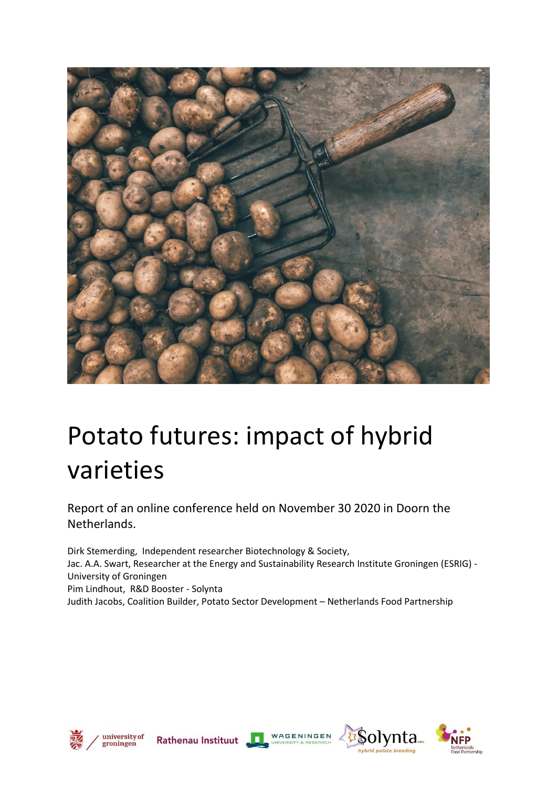

# Potato futures: impact of hybrid varieties

Report of an online conference held on November 30 2020 in Doorn the Netherlands.

[Dirk Stemerding,](http://www.dirkstemerding.nl/) Independent researcher Biotechnology & Society, Jac. A.A. Swart, Researcher at the Energy and Sustainability Research Institute Groningen (ESRIG) - University of Groningen Pim Lindhout, R&D Booster - Solynta Judith Jacobs, Coalition Builder, Potato Sector Development – Netherlands Food Partnership











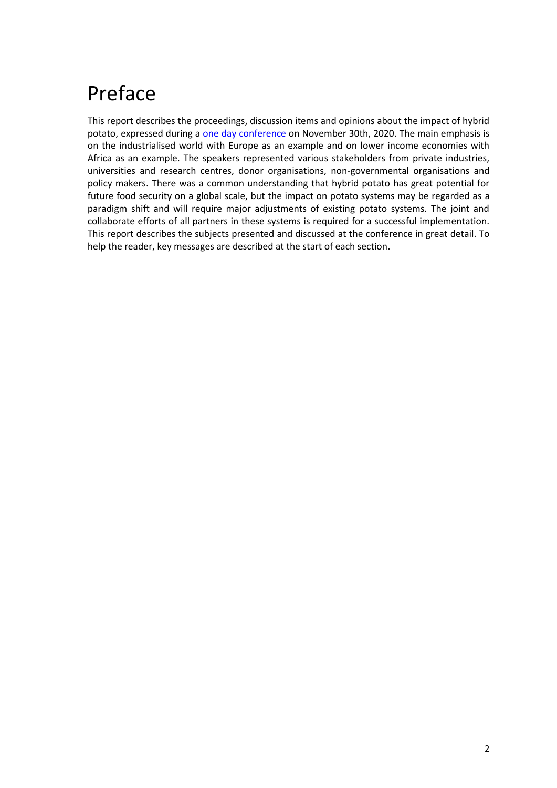### Preface

This report describes the proceedings, discussion items and opinions about the impact of hybrid potato, expressed during a one day [conference](file:///C:/Documents/NFP/Potato/Conference/Communicatie/(%20https:/www.nlfoodpartnership.com/events/international-conference-potato-futures-impact-of-hybrid-varieties/)) on November 30th, 2020. The main emphasis is on the industrialised world with Europe as an example and on lower income economies with Africa as an example. The speakers represented various stakeholders from private industries, universities and research centres, donor organisations, non-governmental organisations and policy makers. There was a common understanding that hybrid potato has great potential for future food security on a global scale, but the impact on potato systems may be regarded as a paradigm shift and will require major adjustments of existing potato systems. The joint and collaborate efforts of all partners in these systems is required for a successful implementation. This report describes the subjects presented and discussed at the conference in great detail. To help the reader, key messages are described at the start of each section.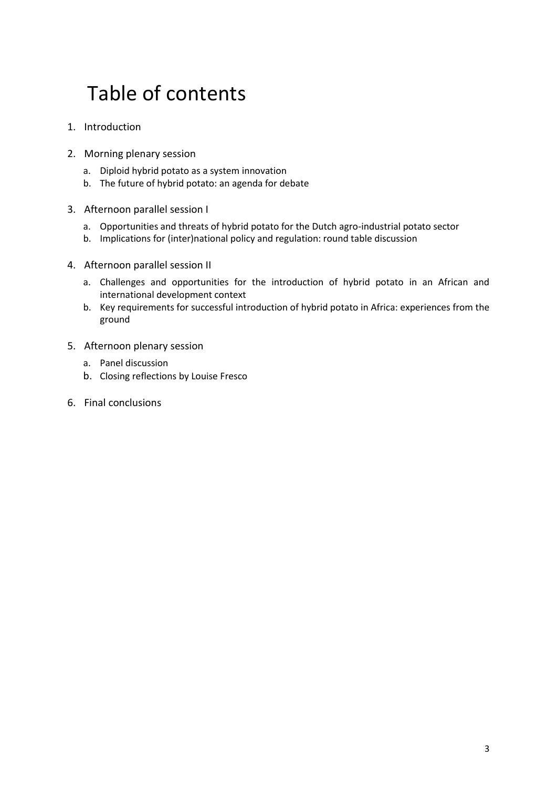### Table of contents

- 1. Introduction
- 2. Morning plenary session
	- a. Diploid hybrid potato as a system innovation
	- b. The future of hybrid potato: an agenda for debate
- 3. Afternoon parallel session I
	- a. Opportunities and threats of hybrid potato for the Dutch agro-industrial potato sector
	- b. Implications for (inter)national policy and regulation: round table discussion
- 4. Afternoon parallel session II
	- a. Challenges and opportunities for the introduction of hybrid potato in an African and international development context
	- b. Key requirements for successful introduction of hybrid potato in Africa: experiences from the ground
- 5. Afternoon plenary session
	- a. Panel discussion
	- b. Closing reflections by Louise Fresco
- 6. Final conclusions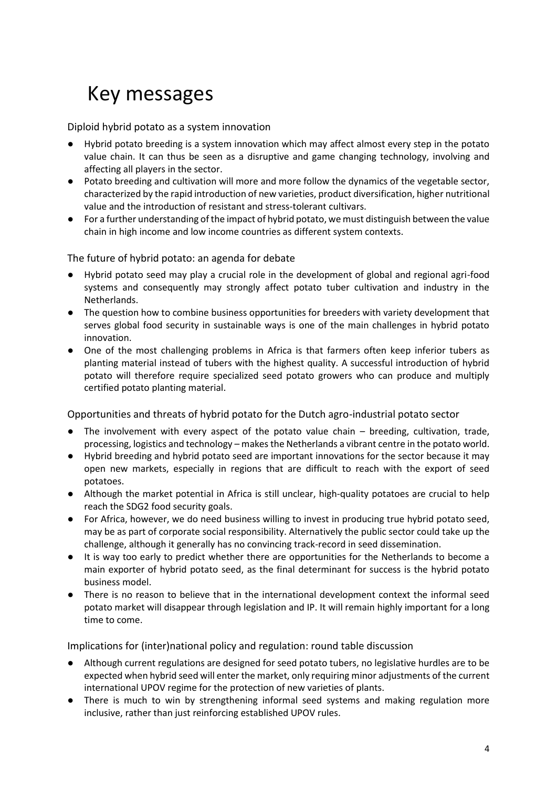### Key messages

Diploid hybrid potato as a system innovation

- Hybrid potato breeding is a system innovation which may affect almost every step in the potato value chain. It can thus be seen as a disruptive and game changing technology, involving and affecting all players in the sector.
- Potato breeding and cultivation will more and more follow the dynamics of the vegetable sector, characterized by the rapid introduction of new varieties, product diversification, higher nutritional value and the introduction of resistant and stress-tolerant cultivars.
- For a further understanding of the impact of hybrid potato, we must distinguish between the value chain in high income and low income countries as different system contexts.

The future of hybrid potato: an agenda for debate

- Hybrid potato seed may play a crucial role in the development of global and regional agri-food systems and consequently may strongly affect potato tuber cultivation and industry in the Netherlands.
- The question how to combine business opportunities for breeders with variety development that serves global food security in sustainable ways is one of the main challenges in hybrid potato innovation.
- One of the most challenging problems in Africa is that farmers often keep inferior tubers as planting material instead of tubers with the highest quality. A successful introduction of hybrid potato will therefore require specialized seed potato growers who can produce and multiply certified potato planting material.

Opportunities and threats of hybrid potato for the Dutch agro-industrial potato sector

- The involvement with every aspect of the potato value chain breeding, cultivation, trade, processing, logistics and technology – makes the Netherlands a vibrant centre in the potato world.
- Hybrid breeding and hybrid potato seed are important innovations for the sector because it may open new markets, especially in regions that are difficult to reach with the export of seed potatoes.
- Although the market potential in Africa is still unclear, high-quality potatoes are crucial to help reach the SDG2 food security goals.
- For Africa, however, we do need business willing to invest in producing true hybrid potato seed, may be as part of corporate social responsibility. Alternatively the public sector could take up the challenge, although it generally has no convincing track-record in seed dissemination.
- It is way too early to predict whether there are opportunities for the Netherlands to become a main exporter of hybrid potato seed, as the final determinant for success is the hybrid potato business model.
- There is no reason to believe that in the international development context the informal seed potato market will disappear through legislation and IP. It will remain highly important for a long time to come.

Implications for (inter)national policy and regulation: round table discussion

- Although current regulations are designed for seed potato tubers, no legislative hurdles are to be expected when hybrid seed will enter the market, only requiring minor adjustments of the current international UPOV regime for the protection of new varieties of plants.
- There is much to win by strengthening informal seed systems and making regulation more inclusive, rather than just reinforcing established UPOV rules.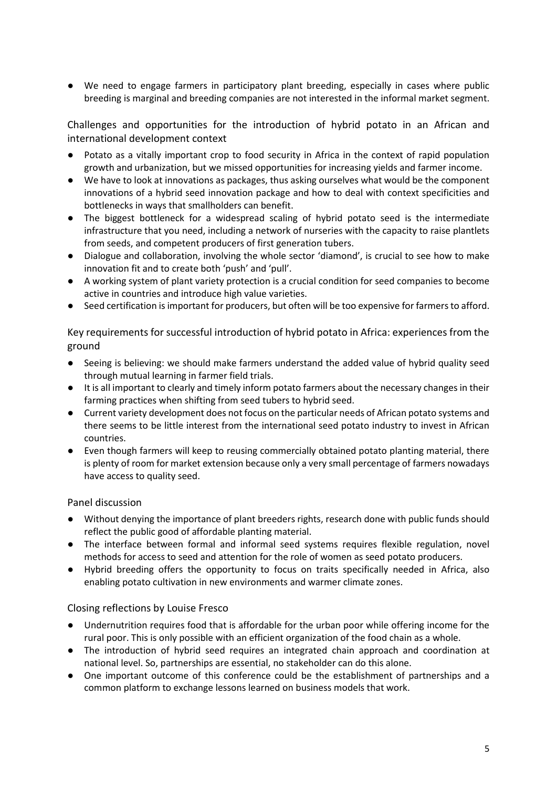● We need to engage farmers in participatory plant breeding, especially in cases where public breeding is marginal and breeding companies are not interested in the informal market segment.

Challenges and opportunities for the introduction of hybrid potato in an African and international development context

- Potato as a vitally important crop to food security in Africa in the context of rapid population growth and urbanization, but we missed opportunities for increasing yields and farmer income.
- We have to look at innovations as packages, thus asking ourselves what would be the component innovations of a hybrid seed innovation package and how to deal with context specificities and bottlenecks in ways that smallholders can benefit.
- The biggest bottleneck for a widespread scaling of hybrid potato seed is the intermediate infrastructure that you need, including a network of nurseries with the capacity to raise plantlets from seeds, and competent producers of first generation tubers.
- Dialogue and collaboration, involving the whole sector 'diamond', is crucial to see how to make innovation fit and to create both 'push' and 'pull'.
- A working system of plant variety protection is a crucial condition for seed companies to become active in countries and introduce high value varieties.
- Seed certification is important for producers, but often will be too expensive for farmers to afford.

Key requirements for successful introduction of hybrid potato in Africa: experiences from the ground

- Seeing is believing: we should make farmers understand the added value of hybrid quality seed through mutual learning in farmer field trials.
- It is all important to clearly and timely inform potato farmers about the necessary changes in their farming practices when shifting from seed tubers to hybrid seed.
- Current variety development does not focus on the particular needs of African potato systems and there seems to be little interest from the international seed potato industry to invest in African countries.
- Even though farmers will keep to reusing commercially obtained potato planting material, there is plenty of room for market extension because only a very small percentage of farmers nowadays have access to quality seed.

Panel discussion

- Without denying the importance of plant breeders rights, research done with public funds should reflect the public good of affordable planting material.
- The interface between formal and informal seed systems requires flexible regulation, novel methods for access to seed and attention for the role of women as seed potato producers.
- Hybrid breeding offers the opportunity to focus on traits specifically needed in Africa, also enabling potato cultivation in new environments and warmer climate zones.

Closing reflections by Louise Fresco

- Undernutrition requires food that is affordable for the urban poor while offering income for the rural poor. This is only possible with an efficient organization of the food chain as a whole.
- The introduction of hybrid seed requires an integrated chain approach and coordination at national level. So, partnerships are essential, no stakeholder can do this alone.
- One important outcome of this conference could be the establishment of partnerships and a common platform to exchange lessons learned on business models that work.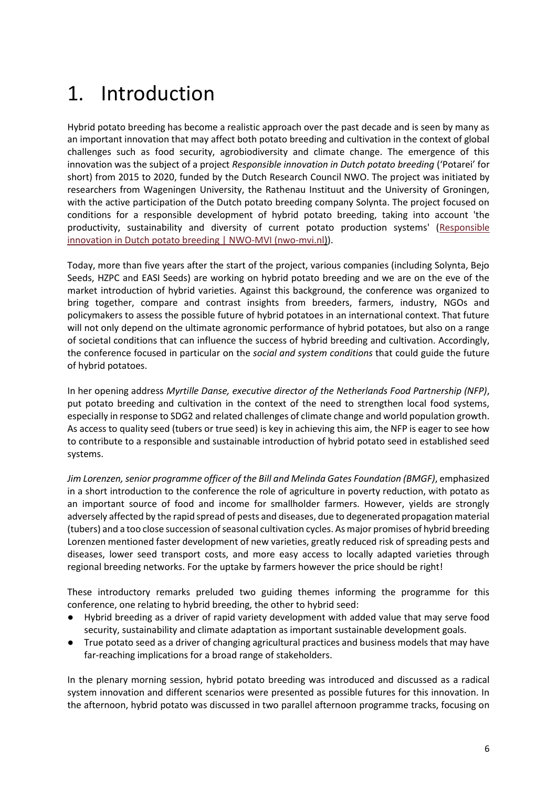### 1. Introduction

Hybrid potato breeding has become a realistic approach over the past decade and is seen by many as an important innovation that may affect both potato breeding and cultivation in the context of global challenges such as food security, agrobiodiversity and climate change. The emergence of this innovation was the subject of a project *Responsible innovation in Dutch potato breeding* ('Potarei' for short) from 2015 to 2020, funded by the Dutch Research Council NWO. The project was initiated by researchers from Wageningen University, the Rathenau Instituut and the University of Groningen, with the active participation of the Dutch potato breeding company Solynta. The project focused on conditions for a responsible development of hybrid potato breeding, taking into account 'the productivity, sustainability and diversity of current potato production systems' [\(Responsible](https://www.nwo-mvi.nl/project/responsible-innovation-dutch-potato-breeding)  [innovation in Dutch potato breeding | NWO-MVI \(nwo-mvi.nl\)\)](https://www.nwo-mvi.nl/project/responsible-innovation-dutch-potato-breeding).

Today, more than five years after the start of the project, various companies (including Solynta, Bejo Seeds, HZPC and EASI Seeds) are working on hybrid potato breeding and we are on the eve of the market introduction of hybrid varieties. Against this background, the conference was organized to bring together, compare and contrast insights from breeders, farmers, industry, NGOs and policymakers to assess the possible future of hybrid potatoes in an international context. That future will not only depend on the ultimate agronomic performance of hybrid potatoes, but also on a range of societal conditions that can influence the success of hybrid breeding and cultivation. Accordingly, the conference focused in particular on the *social and system conditions* that could guide the future of hybrid potatoes.

In her opening address *Myrtille Danse, executive director of the Netherlands Food Partnership (NFP)*, put potato breeding and cultivation in the context of the need to strengthen local food systems, especially in response to SDG2 and related challenges of climate change and world population growth. As access to quality seed (tubers or true seed) is key in achieving this aim, the NFP is eager to see how to contribute to a responsible and sustainable introduction of hybrid potato seed in established seed systems.

*Jim Lorenzen, senior programme officer of the Bill and Melinda Gates Foundation (BMGF)*, emphasized in a short introduction to the conference the role of agriculture in poverty reduction, with potato as an important source of food and income for smallholder farmers. However, yields are strongly adversely affected by the rapid spread of pests and diseases, due to degenerated propagation material (tubers) and a too close succession of seasonal cultivation cycles. As major promises of hybrid breeding Lorenzen mentioned faster development of new varieties, greatly reduced risk of spreading pests and diseases, lower seed transport costs, and more easy access to locally adapted varieties through regional breeding networks. For the uptake by farmers however the price should be right!

These introductory remarks preluded two guiding themes informing the programme for this conference, one relating to hybrid breeding, the other to hybrid seed:

- Hybrid breeding as a driver of rapid variety development with added value that may serve food security, sustainability and climate adaptation as important sustainable development goals.
- True potato seed as a driver of changing agricultural practices and business models that may have far-reaching implications for a broad range of stakeholders.

In the plenary morning session, hybrid potato breeding was introduced and discussed as a radical system innovation and different scenarios were presented as possible futures for this innovation. In the afternoon, hybrid potato was discussed in two parallel afternoon programme tracks, focusing on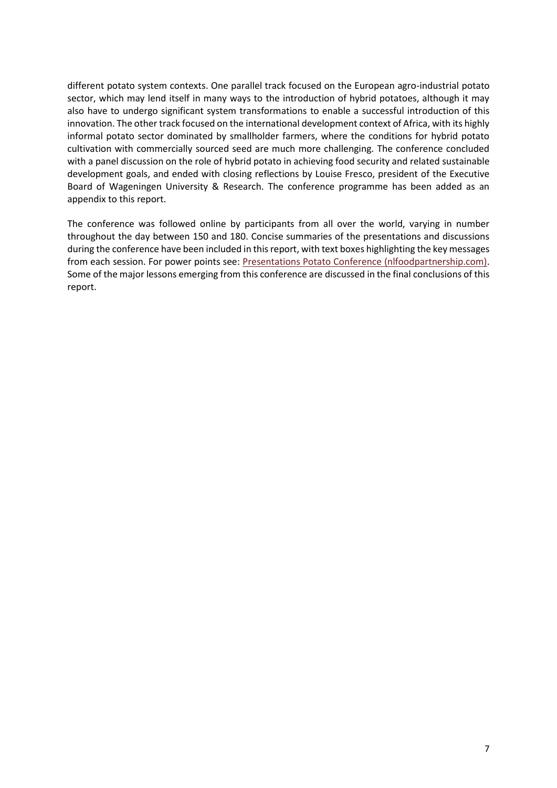different potato system contexts. One parallel track focused on the European agro-industrial potato sector, which may lend itself in many ways to the introduction of hybrid potatoes, although it may also have to undergo significant system transformations to enable a successful introduction of this innovation. The other track focused on the international development context of Africa, with its highly informal potato sector dominated by smallholder farmers, where the conditions for hybrid potato cultivation with commercially sourced seed are much more challenging. The conference concluded with a panel discussion on the role of hybrid potato in achieving food security and related sustainable development goals, and ended with closing reflections by Louise Fresco, president of the Executive Board of Wageningen University & Research. The conference programme has been added as an appendix to this report.

The conference was followed online by participants from all over the world, varying in number throughout the day between 150 and 180. Concise summaries of the presentations and discussions during the conference have been included in this report, with text boxes highlighting the key messages from each session. For power points see: [Presentations Potato Conference \(nlfoodpartnership.com\).](https://www.nlfoodpartnership.com/insights/presentations-potato-conference/) Some of the major lessons emerging from this conference are discussed in the final conclusions of this report.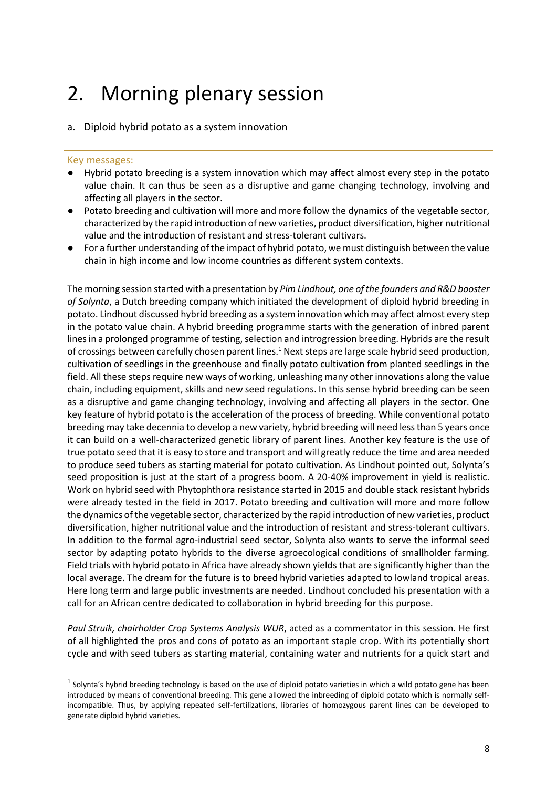### 2. Morning plenary session

#### a. Diploid hybrid potato as a system innovation

#### Key messages:

- Hybrid potato breeding is a system innovation which may affect almost every step in the potato value chain. It can thus be seen as a disruptive and game changing technology, involving and affecting all players in the sector.
- Potato breeding and cultivation will more and more follow the dynamics of the vegetable sector, characterized by the rapid introduction of new varieties, product diversification, higher nutritional value and the introduction of resistant and stress-tolerant cultivars.
- For a further understanding of the impact of hybrid potato, we must distinguish between the value chain in high income and low income countries as different system contexts.

The morning session started with a presentation by *Pim Lindhout, one of the founders and R&D booster of Solynta*, a Dutch breeding company which initiated the development of diploid hybrid breeding in potato. Lindhout discussed hybrid breeding as a system innovation which may affect almost every step in the potato value chain. A hybrid breeding programme starts with the generation of inbred parent lines in a prolonged programme of testing, selection and introgression breeding. Hybrids are the result of crossings between carefully chosen parent lines.<sup>1</sup> Next steps are large scale hybrid seed production, cultivation of seedlings in the greenhouse and finally potato cultivation from planted seedlings in the field. All these steps require new ways of working, unleashing many other innovations along the value chain, including equipment, skills and new seed regulations. In this sense hybrid breeding can be seen as a disruptive and game changing technology, involving and affecting all players in the sector. One key feature of hybrid potato is the acceleration of the process of breeding. While conventional potato breeding may take decennia to develop a new variety, hybrid breeding will need less than 5 years once it can build on a well-characterized genetic library of parent lines. Another key feature is the use of true potato seed that it is easy to store and transport and will greatly reduce the time and area needed to produce seed tubers as starting material for potato cultivation. As Lindhout pointed out, Solynta's seed proposition is just at the start of a progress boom. A 20-40% improvement in yield is realistic. Work on hybrid seed with Phytophthora resistance started in 2015 and double stack resistant hybrids were already tested in the field in 2017. Potato breeding and cultivation will more and more follow the dynamics of the vegetable sector, characterized by the rapid introduction of new varieties, product diversification, higher nutritional value and the introduction of resistant and stress-tolerant cultivars. In addition to the formal agro-industrial seed sector, Solynta also wants to serve the informal seed sector by adapting potato hybrids to the diverse agroecological conditions of smallholder farming. Field trials with hybrid potato in Africa have already shown yields that are significantly higher than the local average. The dream for the future is to breed hybrid varieties adapted to lowland tropical areas. Here long term and large public investments are needed. Lindhout concluded his presentation with a call for an African centre dedicated to collaboration in hybrid breeding for this purpose.

*Paul Struik, chairholder Crop Systems Analysis WUR*, acted as a commentator in this session. He first of all highlighted the pros and cons of potato as an important staple crop. With its potentially short cycle and with seed tubers as starting material, containing water and nutrients for a quick start and

 $<sup>1</sup>$  Solynta's hybrid breeding technology is based on the use of diploid potato varieties in which a wild potato gene has been</sup> introduced by means of conventional breeding. This gene allowed the inbreeding of diploid potato which is normally selfincompatible. Thus, by applying repeated self-fertilizations, libraries of homozygous parent lines can be developed to generate diploid hybrid varieties.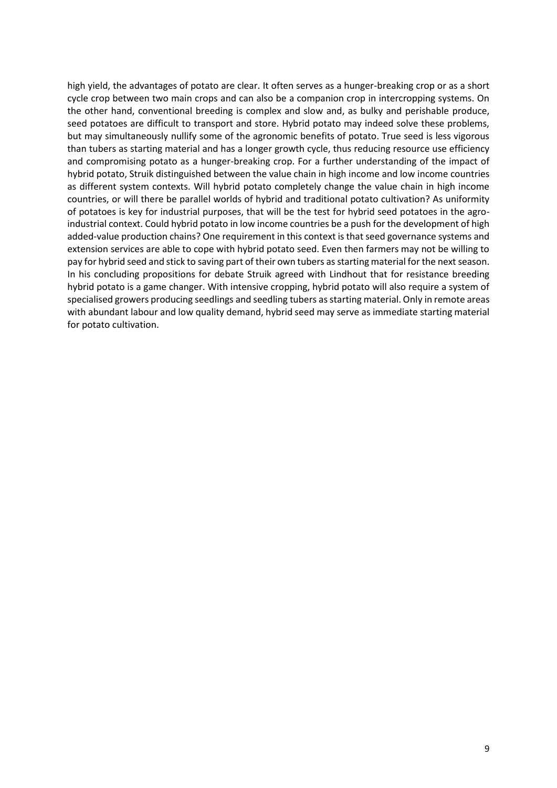high yield, the advantages of potato are clear. It often serves as a hunger-breaking crop or as a short cycle crop between two main crops and can also be a companion crop in intercropping systems. On the other hand, conventional breeding is complex and slow and, as bulky and perishable produce, seed potatoes are difficult to transport and store. Hybrid potato may indeed solve these problems, but may simultaneously nullify some of the agronomic benefits of potato. True seed is less vigorous than tubers as starting material and has a longer growth cycle, thus reducing resource use efficiency and compromising potato as a hunger-breaking crop. For a further understanding of the impact of hybrid potato, Struik distinguished between the value chain in high income and low income countries as different system contexts. Will hybrid potato completely change the value chain in high income countries, or will there be parallel worlds of hybrid and traditional potato cultivation? As uniformity of potatoes is key for industrial purposes, that will be the test for hybrid seed potatoes in the agroindustrial context. Could hybrid potato in low income countries be a push for the development of high added-value production chains? One requirement in this context is that seed governance systems and extension services are able to cope with hybrid potato seed. Even then farmers may not be willing to pay for hybrid seed and stick to saving part of their own tubers as starting material for the next season. In his concluding propositions for debate Struik agreed with Lindhout that for resistance breeding hybrid potato is a game changer. With intensive cropping, hybrid potato will also require a system of specialised growers producing seedlings and seedling tubers as starting material. Only in remote areas with abundant labour and low quality demand, hybrid seed may serve as immediate starting material for potato cultivation.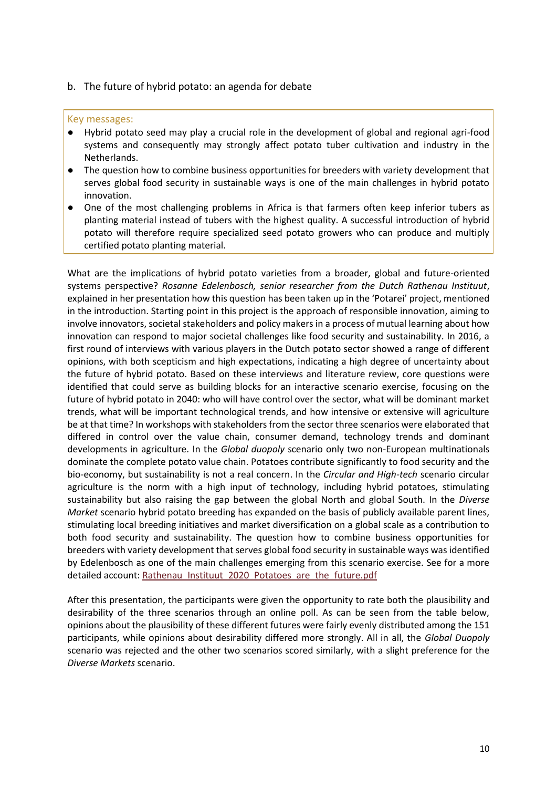#### b. The future of hybrid potato: an agenda for debate

#### Key messages:

- Hybrid potato seed may play a crucial role in the development of global and regional agri-food systems and consequently may strongly affect potato tuber cultivation and industry in the Netherlands.
- The question how to combine business opportunities for breeders with variety development that serves global food security in sustainable ways is one of the main challenges in hybrid potato innovation.
- One of the most challenging problems in Africa is that farmers often keep inferior tubers as planting material instead of tubers with the highest quality. A successful introduction of hybrid potato will therefore require specialized seed potato growers who can produce and multiply certified potato planting material.

What are the implications of hybrid potato varieties from a broader, global and future-oriented systems perspective? *Rosanne Edelenbosch, senior researcher from the Dutch Rathenau Instituut*, explained in her presentation how this question has been taken up in the 'Potarei' project, mentioned in the introduction. Starting point in this project is the approach of responsible innovation, aiming to involve innovators, societal stakeholders and policy makers in a process of mutual learning about how innovation can respond to major societal challenges like food security and sustainability. In 2016, a first round of interviews with various players in the Dutch potato sector showed a range of different opinions, with both scepticism and high expectations, indicating a high degree of uncertainty about the future of hybrid potato. Based on these interviews and literature review, core questions were identified that could serve as building blocks for an interactive scenario exercise, focusing on the future of hybrid potato in 2040: who will have control over the sector, what will be dominant market trends, what will be important technological trends, and how intensive or extensive will agriculture be at that time? In workshops with stakeholders from the sector three scenarios were elaborated that differed in control over the value chain, consumer demand, technology trends and dominant developments in agriculture. In the *Global duopoly* scenario only two non-European multinationals dominate the complete potato value chain. Potatoes contribute significantly to food security and the bio-economy, but sustainability is not a real concern. In the *Circular and High-tech* scenario circular agriculture is the norm with a high input of technology, including hybrid potatoes, stimulating sustainability but also raising the gap between the global North and global South. In the *Diverse Market* scenario hybrid potato breeding has expanded on the basis of publicly available parent lines, stimulating local breeding initiatives and market diversification on a global scale as a contribution to both food security and sustainability. The question how to combine business opportunities for breeders with variety development that serves global food security in sustainable ways was identified by Edelenbosch as one of the main challenges emerging from this scenario exercise. See for a more detailed account: [Rathenau\\_Instituut\\_2020\\_Potatoes\\_are\\_the\\_future.pdf](https://www.rathenau.nl/sites/default/files/2020-12/Rathenau_Instituut_2020_Potatoes_are_the_future.pdf)

After this presentation, the participants were given the opportunity to rate both the plausibility and desirability of the three scenarios through an online poll. As can be seen from the table below, opinions about the plausibility of these different futures were fairly evenly distributed among the 151 participants, while opinions about desirability differed more strongly. All in all, the *Global Duopoly* scenario was rejected and the other two scenarios scored similarly, with a slight preference for the *Diverse Markets* scenario.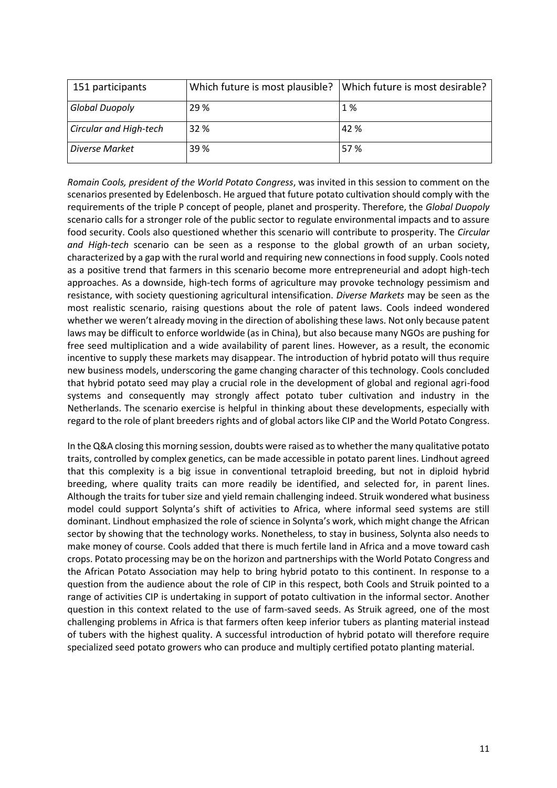| 151 participants              | Which future is most plausible? | Which future is most desirable? |
|-------------------------------|---------------------------------|---------------------------------|
| <b>Global Duopoly</b>         | 29 %                            | 1%                              |
| <b>Circular and High-tech</b> | 32 %                            | 42 %                            |
| Diverse Market                | 39 %                            | 57 %                            |

*Romain Cools, president of the World Potato Congress*, was invited in this session to comment on the scenarios presented by Edelenbosch. He argued that future potato cultivation should comply with the requirements of the triple P concept of people, planet and prosperity. Therefore, the *Global Duopoly*  scenario calls for a stronger role of the public sector to regulate environmental impacts and to assure food security. Cools also questioned whether this scenario will contribute to prosperity. The *Circular and High-tech* scenario can be seen as a response to the global growth of an urban society, characterized by a gap with the rural world and requiring new connections in food supply. Cools noted as a positive trend that farmers in this scenario become more entrepreneurial and adopt high-tech approaches. As a downside, high-tech forms of agriculture may provoke technology pessimism and resistance, with society questioning agricultural intensification. *Diverse Markets* may be seen as the most realistic scenario, raising questions about the role of patent laws. Cools indeed wondered whether we weren't already moving in the direction of abolishing these laws. Not only because patent laws may be difficult to enforce worldwide (as in China), but also because many NGOs are pushing for free seed multiplication and a wide availability of parent lines. However, as a result, the economic incentive to supply these markets may disappear. The introduction of hybrid potato will thus require new business models, underscoring the game changing character of this technology. Cools concluded that hybrid potato seed may play a crucial role in the development of global and regional agri-food systems and consequently may strongly affect potato tuber cultivation and industry in the Netherlands. The scenario exercise is helpful in thinking about these developments, especially with regard to the role of plant breeders rights and of global actors like CIP and the World Potato Congress.

In the Q&A closing this morning session, doubts were raised as to whether the many qualitative potato traits, controlled by complex genetics, can be made accessible in potato parent lines. Lindhout agreed that this complexity is a big issue in conventional tetraploid breeding, but not in diploid hybrid breeding, where quality traits can more readily be identified, and selected for, in parent lines. Although the traits for tuber size and yield remain challenging indeed. Struik wondered what business model could support Solynta's shift of activities to Africa, where informal seed systems are still dominant. Lindhout emphasized the role of science in Solynta's work, which might change the African sector by showing that the technology works. Nonetheless, to stay in business, Solynta also needs to make money of course. Cools added that there is much fertile land in Africa and a move toward cash crops. Potato processing may be on the horizon and partnerships with the World Potato Congress and the African Potato Association may help to bring hybrid potato to this continent. In response to a question from the audience about the role of CIP in this respect, both Cools and Struik pointed to a range of activities CIP is undertaking in support of potato cultivation in the informal sector. Another question in this context related to the use of farm-saved seeds. As Struik agreed, one of the most challenging problems in Africa is that farmers often keep inferior tubers as planting material instead of tubers with the highest quality. A successful introduction of hybrid potato will therefore require specialized seed potato growers who can produce and multiply certified potato planting material.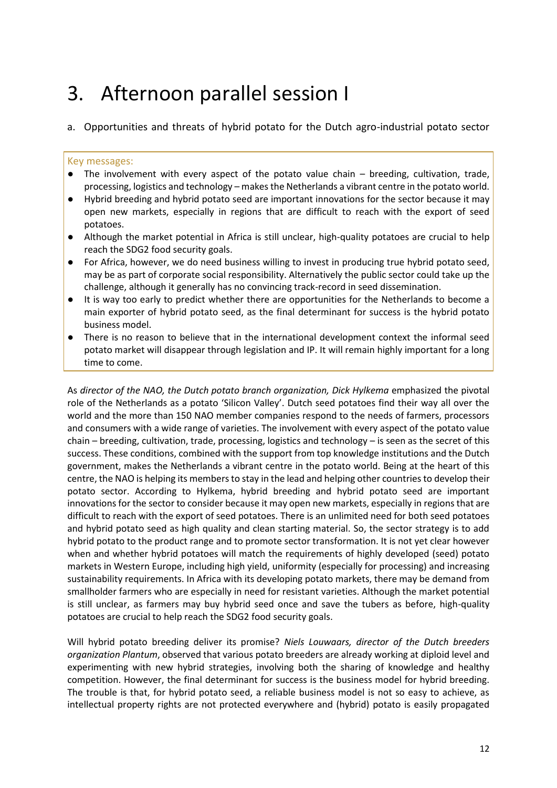### 3. Afternoon parallel session I

a. Opportunities and threats of hybrid potato for the Dutch agro-industrial potato sector

#### Key messages:

- The involvement with every aspect of the potato value chain breeding, cultivation, trade, processing, logistics and technology – makes the Netherlands a vibrant centre in the potato world.
- Hybrid breeding and hybrid potato seed are important innovations for the sector because it may open new markets, especially in regions that are difficult to reach with the export of seed potatoes.
- Although the market potential in Africa is still unclear, high-quality potatoes are crucial to help reach the SDG2 food security goals.
- For Africa, however, we do need business willing to invest in producing true hybrid potato seed, may be as part of corporate social responsibility. Alternatively the public sector could take up the challenge, although it generally has no convincing track-record in seed dissemination.
- It is way too early to predict whether there are opportunities for the Netherlands to become a main exporter of hybrid potato seed, as the final determinant for success is the hybrid potato business model.
- There is no reason to believe that in the international development context the informal seed potato market will disappear through legislation and IP. It will remain highly important for a long time to come.

As *director of the NAO, the Dutch potato branch organization, Dick Hylkema* emphasized the pivotal role of the Netherlands as a potato 'Silicon Valley'. Dutch seed potatoes find their way all over the world and the more than 150 NAO member companies respond to the needs of farmers, processors and consumers with a wide range of varieties. The involvement with every aspect of the potato value chain – breeding, cultivation, trade, processing, logistics and technology – is seen as the secret of this success. These conditions, combined with the support from top knowledge institutions and the Dutch government, makes the Netherlands a vibrant centre in the potato world. Being at the heart of this centre, the NAO is helping its members to stay in the lead and helping other countries to develop their potato sector. According to Hylkema, hybrid breeding and hybrid potato seed are important innovations for the sector to consider because it may open new markets, especially in regions that are difficult to reach with the export of seed potatoes. There is an unlimited need for both seed potatoes and hybrid potato seed as high quality and clean starting material. So, the sector strategy is to add hybrid potato to the product range and to promote sector transformation. It is not yet clear however when and whether hybrid potatoes will match the requirements of highly developed (seed) potato markets in Western Europe, including high yield, uniformity (especially for processing) and increasing sustainability requirements. In Africa with its developing potato markets, there may be demand from smallholder farmers who are especially in need for resistant varieties. Although the market potential is still unclear, as farmers may buy hybrid seed once and save the tubers as before, high-quality potatoes are crucial to help reach the SDG2 food security goals.

Will hybrid potato breeding deliver its promise? *Niels Louwaars, director of the Dutch breeders organization Plantum*, observed that various potato breeders are already working at diploid level and experimenting with new hybrid strategies, involving both the sharing of knowledge and healthy competition. However, the final determinant for success is the business model for hybrid breeding. The trouble is that, for hybrid potato seed, a reliable business model is not so easy to achieve, as intellectual property rights are not protected everywhere and (hybrid) potato is easily propagated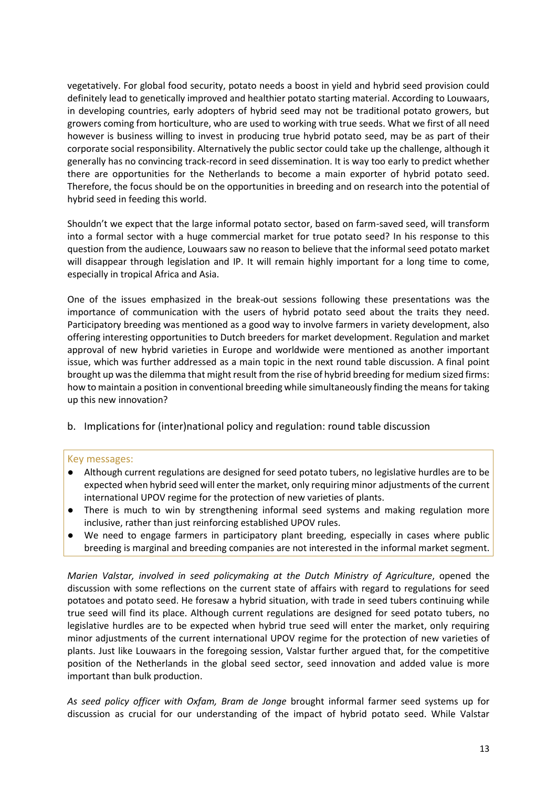vegetatively. For global food security, potato needs a boost in yield and hybrid seed provision could definitely lead to genetically improved and healthier potato starting material. According to Louwaars, in developing countries, early adopters of hybrid seed may not be traditional potato growers, but growers coming from horticulture, who are used to working with true seeds. What we first of all need however is business willing to invest in producing true hybrid potato seed, may be as part of their corporate social responsibility. Alternatively the public sector could take up the challenge, although it generally has no convincing track-record in seed dissemination. It is way too early to predict whether there are opportunities for the Netherlands to become a main exporter of hybrid potato seed. Therefore, the focus should be on the opportunities in breeding and on research into the potential of hybrid seed in feeding this world.

Shouldn't we expect that the large informal potato sector, based on farm-saved seed, will transform into a formal sector with a huge commercial market for true potato seed? In his response to this question from the audience, Louwaars saw no reason to believe that the informal seed potato market will disappear through legislation and IP. It will remain highly important for a long time to come, especially in tropical Africa and Asia.

One of the issues emphasized in the break-out sessions following these presentations was the importance of communication with the users of hybrid potato seed about the traits they need. Participatory breeding was mentioned as a good way to involve farmers in variety development, also offering interesting opportunities to Dutch breeders for market development. Regulation and market approval of new hybrid varieties in Europe and worldwide were mentioned as another important issue, which was further addressed as a main topic in the next round table discussion. A final point brought up was the dilemma that might result from the rise of hybrid breeding for medium sized firms: how to maintain a position in conventional breeding while simultaneously finding the means for taking up this new innovation?

b. Implications for (inter)national policy and regulation: round table discussion

#### Key messages:

- Although current regulations are designed for seed potato tubers, no legislative hurdles are to be expected when hybrid seed will enter the market, only requiring minor adjustments of the current international UPOV regime for the protection of new varieties of plants.
- There is much to win by strengthening informal seed systems and making regulation more inclusive, rather than just reinforcing established UPOV rules.
- We need to engage farmers in participatory plant breeding, especially in cases where public breeding is marginal and breeding companies are not interested in the informal market segment.

*Marien Valstar, involved in seed policymaking at the Dutch Ministry of Agriculture*, opened the discussion with some reflections on the current state of affairs with regard to regulations for seed potatoes and potato seed. He foresaw a hybrid situation, with trade in seed tubers continuing while true seed will find its place. Although current regulations are designed for seed potato tubers, no legislative hurdles are to be expected when hybrid true seed will enter the market, only requiring minor adjustments of the current international UPOV regime for the protection of new varieties of plants. Just like Louwaars in the foregoing session, Valstar further argued that, for the competitive position of the Netherlands in the global seed sector, seed innovation and added value is more important than bulk production.

*As seed policy officer with Oxfam, Bram de Jonge* brought informal farmer seed systems up for discussion as crucial for our understanding of the impact of hybrid potato seed. While Valstar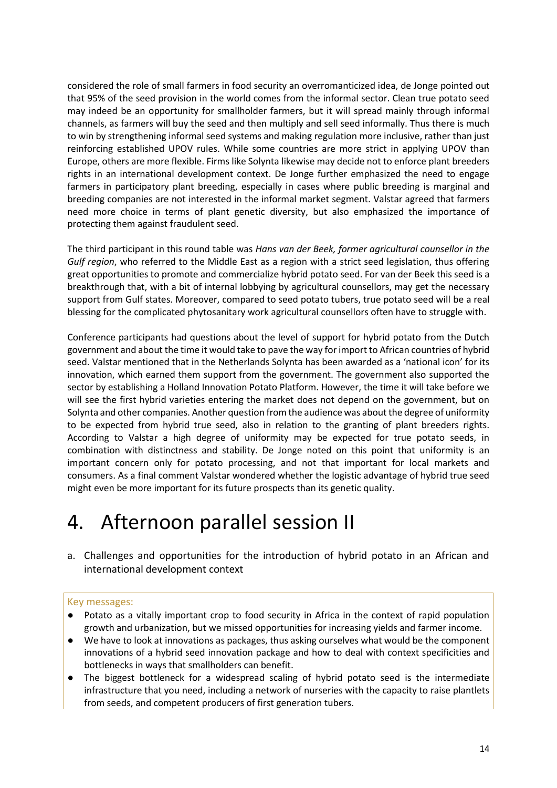considered the role of small farmers in food security an overromanticized idea, de Jonge pointed out that 95% of the seed provision in the world comes from the informal sector. Clean true potato seed may indeed be an opportunity for smallholder farmers, but it will spread mainly through informal channels, as farmers will buy the seed and then multiply and sell seed informally. Thus there is much to win by strengthening informal seed systems and making regulation more inclusive, rather than just reinforcing established UPOV rules. While some countries are more strict in applying UPOV than Europe, others are more flexible. Firms like Solynta likewise may decide not to enforce plant breeders rights in an international development context. De Jonge further emphasized the need to engage farmers in participatory plant breeding, especially in cases where public breeding is marginal and breeding companies are not interested in the informal market segment. Valstar agreed that farmers need more choice in terms of plant genetic diversity, but also emphasized the importance of protecting them against fraudulent seed.

The third participant in this round table was *Hans van der Beek, former agricultural counsellor in the Gulf region*, who referred to the Middle East as a region with a strict seed legislation, thus offering great opportunities to promote and commercialize hybrid potato seed. For van der Beek this seed is a breakthrough that, with a bit of internal lobbying by agricultural counsellors, may get the necessary support from Gulf states. Moreover, compared to seed potato tubers, true potato seed will be a real blessing for the complicated phytosanitary work agricultural counsellors often have to struggle with.

Conference participants had questions about the level of support for hybrid potato from the Dutch government and about the time it would take to pave the way for import to African countries of hybrid seed. Valstar mentioned that in the Netherlands Solynta has been awarded as a 'national icon' for its innovation, which earned them support from the government. The government also supported the sector by establishing a Holland Innovation Potato Platform. However, the time it will take before we will see the first hybrid varieties entering the market does not depend on the government, but on Solynta and other companies. Another question from the audience was about the degree of uniformity to be expected from hybrid true seed, also in relation to the granting of plant breeders rights. According to Valstar a high degree of uniformity may be expected for true potato seeds, in combination with distinctness and stability. De Jonge noted on this point that uniformity is an important concern only for potato processing, and not that important for local markets and consumers. As a final comment Valstar wondered whether the logistic advantage of hybrid true seed might even be more important for its future prospects than its genetic quality.

### 4. Afternoon parallel session II

a. Challenges and opportunities for the introduction of hybrid potato in an African and international development context

#### Key messages:

- Potato as a vitally important crop to food security in Africa in the context of rapid population growth and urbanization, but we missed opportunities for increasing yields and farmer income.
- We have to look at innovations as packages, thus asking ourselves what would be the component innovations of a hybrid seed innovation package and how to deal with context specificities and bottlenecks in ways that smallholders can benefit.
- The biggest bottleneck for a widespread scaling of hybrid potato seed is the intermediate infrastructure that you need, including a network of nurseries with the capacity to raise plantlets from seeds, and competent producers of first generation tubers.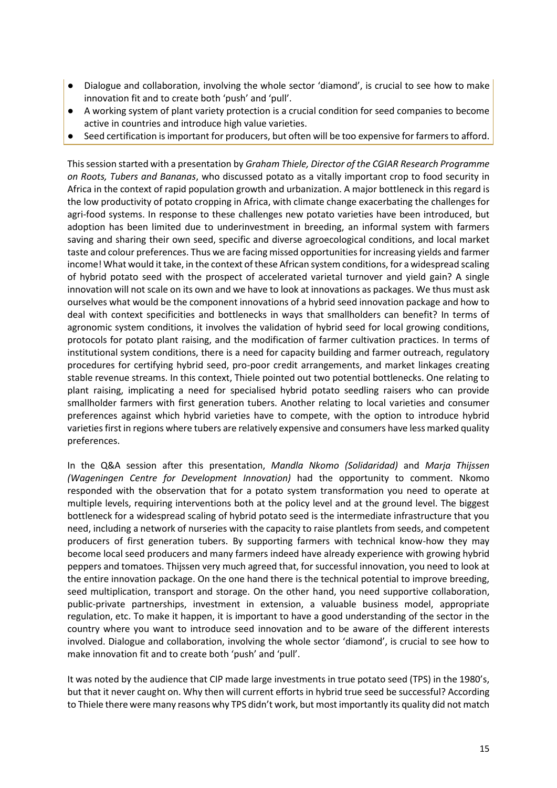- Dialogue and collaboration, involving the whole sector 'diamond', is crucial to see how to make innovation fit and to create both 'push' and 'pull'.
- A working system of plant variety protection is a crucial condition for seed companies to become active in countries and introduce high value varieties.
- Seed certification is important for producers, but often will be too expensive for farmers to afford.

This session started with a presentation by *Graham Thiele, Director of the CGIAR Research Programme on Roots, Tubers and Bananas*, who discussed potato as a vitally important crop to food security in Africa in the context of rapid population growth and urbanization. A major bottleneck in this regard is the low productivity of potato cropping in Africa, with climate change exacerbating the challenges for agri-food systems. In response to these challenges new potato varieties have been introduced, but adoption has been limited due to underinvestment in breeding, an informal system with farmers saving and sharing their own seed, specific and diverse agroecological conditions, and local market taste and colour preferences. Thus we are facing missed opportunities for increasing yields and farmer income! What would it take, in the context of these African system conditions, for a widespread scaling of hybrid potato seed with the prospect of accelerated varietal turnover and yield gain? A single innovation will not scale on its own and we have to look at innovations as packages. We thus must ask ourselves what would be the component innovations of a hybrid seed innovation package and how to deal with context specificities and bottlenecks in ways that smallholders can benefit? In terms of agronomic system conditions, it involves the validation of hybrid seed for local growing conditions, protocols for potato plant raising, and the modification of farmer cultivation practices. In terms of institutional system conditions, there is a need for capacity building and farmer outreach, regulatory procedures for certifying hybrid seed, pro-poor credit arrangements, and market linkages creating stable revenue streams. In this context, Thiele pointed out two potential bottlenecks. One relating to plant raising, implicating a need for specialised hybrid potato seedling raisers who can provide smallholder farmers with first generation tubers. Another relating to local varieties and consumer preferences against which hybrid varieties have to compete, with the option to introduce hybrid varieties first in regions where tubers are relatively expensive and consumers have less marked quality preferences.

In the Q&A session after this presentation, *Mandla Nkomo (Solidaridad)* and *Marja Thijssen (Wageningen Centre for Development Innovation)* had the opportunity to comment. Nkomo responded with the observation that for a potato system transformation you need to operate at multiple levels, requiring interventions both at the policy level and at the ground level. The biggest bottleneck for a widespread scaling of hybrid potato seed is the intermediate infrastructure that you need, including a network of nurseries with the capacity to raise plantlets from seeds, and competent producers of first generation tubers. By supporting farmers with technical know-how they may become local seed producers and many farmers indeed have already experience with growing hybrid peppers and tomatoes. Thijssen very much agreed that, for successful innovation, you need to look at the entire innovation package. On the one hand there is the technical potential to improve breeding, seed multiplication, transport and storage. On the other hand, you need supportive collaboration, public-private partnerships, investment in extension, a valuable business model, appropriate regulation, etc. To make it happen, it is important to have a good understanding of the sector in the country where you want to introduce seed innovation and to be aware of the different interests involved. Dialogue and collaboration, involving the whole sector 'diamond', is crucial to see how to make innovation fit and to create both 'push' and 'pull'.

It was noted by the audience that CIP made large investments in true potato seed (TPS) in the 1980's, but that it never caught on. Why then will current efforts in hybrid true seed be successful? According to Thiele there were many reasons why TPS didn't work, but most importantly its quality did not match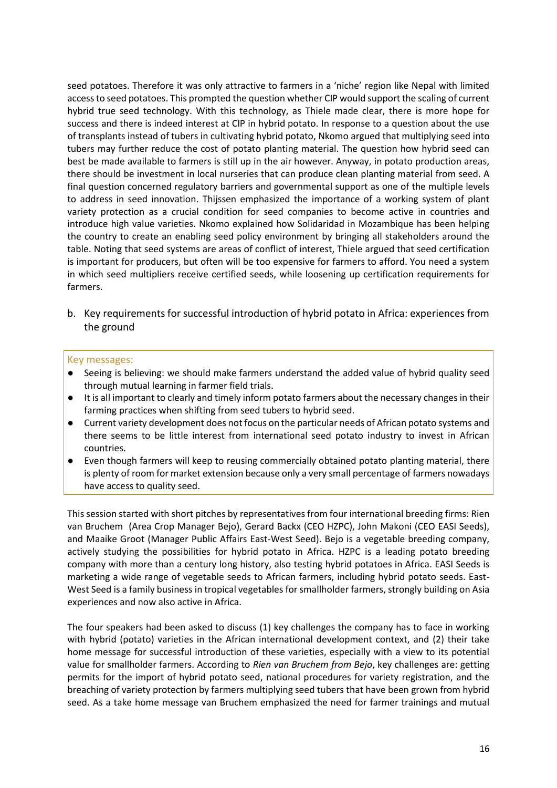seed potatoes. Therefore it was only attractive to farmers in a 'niche' region like Nepal with limited access to seed potatoes. This prompted the question whether CIP would support the scaling of current hybrid true seed technology. With this technology, as Thiele made clear, there is more hope for success and there is indeed interest at CIP in hybrid potato. In response to a question about the use of transplants instead of tubers in cultivating hybrid potato, Nkomo argued that multiplying seed into tubers may further reduce the cost of potato planting material. The question how hybrid seed can best be made available to farmers is still up in the air however. Anyway, in potato production areas, there should be investment in local nurseries that can produce clean planting material from seed. A final question concerned regulatory barriers and governmental support as one of the multiple levels to address in seed innovation. Thijssen emphasized the importance of a working system of plant variety protection as a crucial condition for seed companies to become active in countries and introduce high value varieties. Nkomo explained how Solidaridad in Mozambique has been helping the country to create an enabling seed policy environment by bringing all stakeholders around the table. Noting that seed systems are areas of conflict of interest, Thiele argued that seed certification is important for producers, but often will be too expensive for farmers to afford. You need a system in which seed multipliers receive certified seeds, while loosening up certification requirements for farmers.

b. Key requirements for successful introduction of hybrid potato in Africa: experiences from the ground

#### Key messages:

- Seeing is believing: we should make farmers understand the added value of hybrid quality seed through mutual learning in farmer field trials.
- It is all important to clearly and timely inform potato farmers about the necessary changes in their farming practices when shifting from seed tubers to hybrid seed.
- Current variety development does not focus on the particular needs of African potato systems and there seems to be little interest from international seed potato industry to invest in African countries.
- Even though farmers will keep to reusing commercially obtained potato planting material, there is plenty of room for market extension because only a very small percentage of farmers nowadays have access to quality seed.

This session started with short pitches by representatives from four international breeding firms: Rien van Bruchem (Area Crop Manager Bejo), Gerard Backx (CEO HZPC), John Makoni (CEO EASI Seeds), and Maaike Groot (Manager Public Affairs East-West Seed). Bejo is a vegetable breeding company, actively studying the possibilities for hybrid potato in Africa. HZPC is a leading potato breeding company with more than a century long history, also testing hybrid potatoes in Africa. EASI Seeds is marketing a wide range of vegetable seeds to African farmers, including hybrid potato seeds. East-West Seed is a family business in tropical vegetables for smallholder farmers, strongly building on Asia experiences and now also active in Africa.

The four speakers had been asked to discuss (1) key challenges the company has to face in working with hybrid (potato) varieties in the African international development context, and (2) their take home message for successful introduction of these varieties, especially with a view to its potential value for smallholder farmers. According to *Rien van Bruchem from Bejo*, key challenges are: getting permits for the import of hybrid potato seed, national procedures for variety registration, and the breaching of variety protection by farmers multiplying seed tubers that have been grown from hybrid seed. As a take home message van Bruchem emphasized the need for farmer trainings and mutual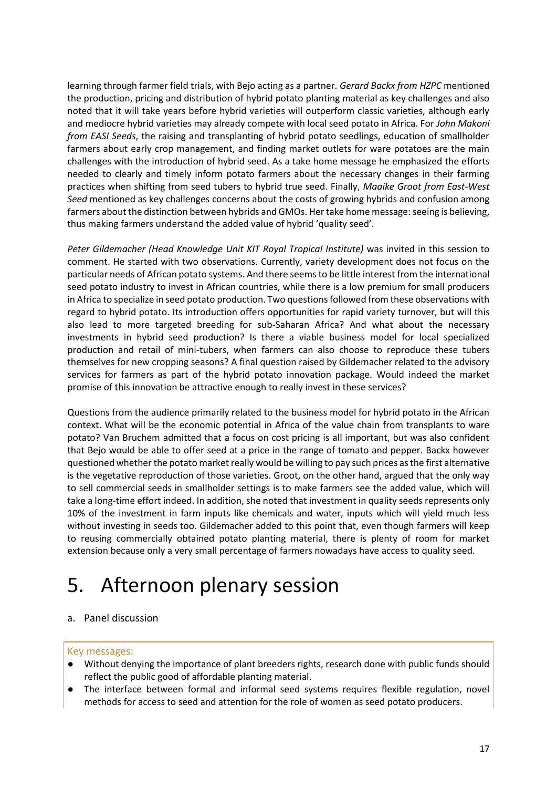learning through farmer field trials, with Bejo acting as a partner. *Gerard Backx from HZPC* mentioned the production, pricing and distribution of hybrid potato planting material as key challenges and also noted that it will take years before hybrid varieties will outperform classic varieties, although early and mediocre hybrid varieties may already compete with local seed potato in Africa. For *John Makoni from EASI Seeds*, the raising and transplanting of hybrid potato seedlings, education of smallholder farmers about early crop management, and finding market outlets for ware potatoes are the main challenges with the introduction of hybrid seed. As a take home message he emphasized the efforts needed to clearly and timely inform potato farmers about the necessary changes in their farming practices when shifting from seed tubers to hybrid true seed. Finally, *Maaike Groot from East-West Seed* mentioned as key challenges concerns about the costs of growing hybrids and confusion among farmers about the distinction between hybrids and GMOs. Her take home message: seeing is believing, thus making farmers understand the added value of hybrid 'quality seed'.

*Peter Gildemacher (Head Knowledge Unit KIT Royal Tropical Institute)* was invited in this session to comment. He started with two observations. Currently, variety development does not focus on the particular needs of African potato systems. And there seems to be little interest from the international seed potato industry to invest in African countries, while there is a low premium for small producers in Africa to specialize in seed potato production. Two questions followed from these observations with regard to hybrid potato. Its introduction offers opportunities for rapid variety turnover, but will this also lead to more targeted breeding for sub-Saharan Africa? And what about the necessary investments in hybrid seed production? Is there a viable business model for local specialized production and retail of mini-tubers, when farmers can also choose to reproduce these tubers themselves for new cropping seasons? A final question raised by Gildemacher related to the advisory services for farmers as part of the hybrid potato innovation package. Would indeed the market promise of this innovation be attractive enough to really invest in these services?

Questions from the audience primarily related to the business model for hybrid potato in the African context. What will be the economic potential in Africa of the value chain from transplants to ware potato? Van Bruchem admitted that a focus on cost pricing is all important, but was also confident that Bejo would be able to offer seed at a price in the range of tomato and pepper. Backx however questioned whether the potato market really would be willing to pay such prices as the first alternative is the vegetative reproduction of those varieties. Groot, on the other hand, argued that the only way to sell commercial seeds in smallholder settings is to make farmers see the added value, which will take a long-time effort indeed. In addition, she noted that investment in quality seeds represents only 10% of the investment in farm inputs like chemicals and water, inputs which will yield much less without investing in seeds too. Gildemacher added to this point that, even though farmers will keep to reusing commercially obtained potato planting material, there is plenty of room for market extension because only a very small percentage of farmers nowadays have access to quality seed.

### 5. Afternoon plenary session

#### a. Panel discussion

#### Key messages:

- Without denying the importance of plant breeders rights, research done with public funds should reflect the public good of affordable planting material.
- The interface between formal and informal seed systems requires flexible regulation, novel methods for access to seed and attention for the role of women as seed potato producers.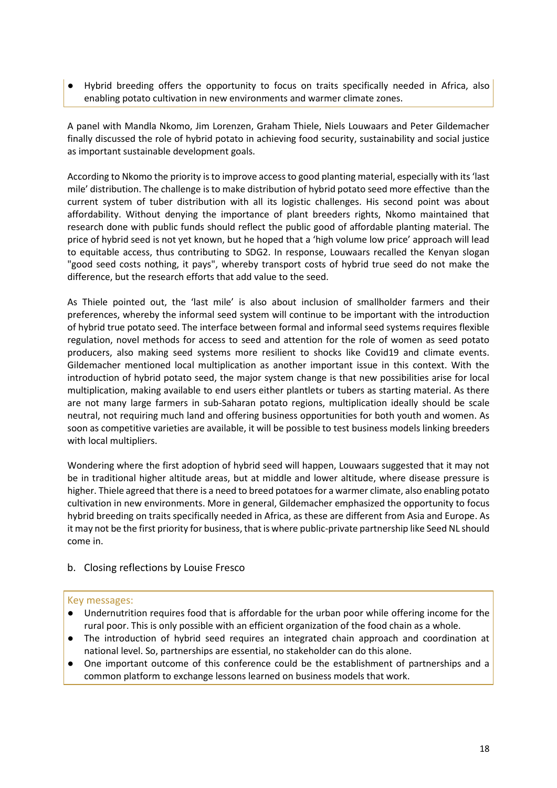Hybrid breeding offers the opportunity to focus on traits specifically needed in Africa, also enabling potato cultivation in new environments and warmer climate zones.

A panel with Mandla Nkomo, Jim Lorenzen, Graham Thiele, Niels Louwaars and Peter Gildemacher finally discussed the role of hybrid potato in achieving food security, sustainability and social justice as important sustainable development goals.

According to Nkomo the priority is to improve access to good planting material, especially with its 'last mile' distribution. The challenge is to make distribution of hybrid potato seed more effective than the current system of tuber distribution with all its logistic challenges. His second point was about affordability. Without denying the importance of plant breeders rights, Nkomo maintained that research done with public funds should reflect the public good of affordable planting material. The price of hybrid seed is not yet known, but he hoped that a 'high volume low price' approach will lead to equitable access, thus contributing to SDG2. In response, Louwaars recalled the Kenyan slogan "good seed costs nothing, it pays", whereby transport costs of hybrid true seed do not make the difference, but the research efforts that add value to the seed.

As Thiele pointed out, the 'last mile' is also about inclusion of smallholder farmers and their preferences, whereby the informal seed system will continue to be important with the introduction of hybrid true potato seed. The interface between formal and informal seed systems requires flexible regulation, novel methods for access to seed and attention for the role of women as seed potato producers, also making seed systems more resilient to shocks like Covid19 and climate events. Gildemacher mentioned local multiplication as another important issue in this context. With the introduction of hybrid potato seed, the major system change is that new possibilities arise for local multiplication, making available to end users either plantlets or tubers as starting material. As there are not many large farmers in sub-Saharan potato regions, multiplication ideally should be scale neutral, not requiring much land and offering business opportunities for both youth and women. As soon as competitive varieties are available, it will be possible to test business models linking breeders with local multipliers.

Wondering where the first adoption of hybrid seed will happen, Louwaars suggested that it may not be in traditional higher altitude areas, but at middle and lower altitude, where disease pressure is higher. Thiele agreed that there is a need to breed potatoes for a warmer climate, also enabling potato cultivation in new environments. More in general, Gildemacher emphasized the opportunity to focus hybrid breeding on traits specifically needed in Africa, as these are different from Asia and Europe. As it may not be the first priority for business, that is where public-private partnership like Seed NL should come in.

#### b. Closing reflections by Louise Fresco

#### Key messages:

- Undernutrition requires food that is affordable for the urban poor while offering income for the rural poor. This is only possible with an efficient organization of the food chain as a whole.
- The introduction of hybrid seed requires an integrated chain approach and coordination at national level. So, partnerships are essential, no stakeholder can do this alone.
- One important outcome of this conference could be the establishment of partnerships and a common platform to exchange lessons learned on business models that work.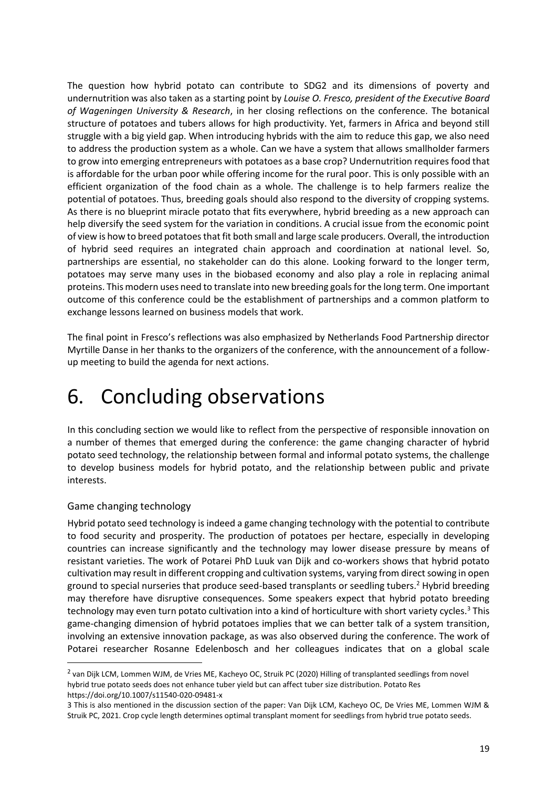The question how hybrid potato can contribute to SDG2 and its dimensions of poverty and undernutrition was also taken as a starting point by *Louise O. Fresco, president of the Executive Board of Wageningen University & Research*, in her closing reflections on the conference. The botanical structure of potatoes and tubers allows for high productivity. Yet, farmers in Africa and beyond still struggle with a big yield gap. When introducing hybrids with the aim to reduce this gap, we also need to address the production system as a whole. Can we have a system that allows smallholder farmers to grow into emerging entrepreneurs with potatoes as a base crop? Undernutrition requires food that is affordable for the urban poor while offering income for the rural poor. This is only possible with an efficient organization of the food chain as a whole. The challenge is to help farmers realize the potential of potatoes. Thus, breeding goals should also respond to the diversity of cropping systems. As there is no blueprint miracle potato that fits everywhere, hybrid breeding as a new approach can help diversify the seed system for the variation in conditions. A crucial issue from the economic point of view is how to breed potatoes that fit both small and large scale producers. Overall, the introduction of hybrid seed requires an integrated chain approach and coordination at national level. So, partnerships are essential, no stakeholder can do this alone. Looking forward to the longer term, potatoes may serve many uses in the biobased economy and also play a role in replacing animal proteins. This modern uses need to translate into new breeding goals for the long term. One important outcome of this conference could be the establishment of partnerships and a common platform to exchange lessons learned on business models that work.

The final point in Fresco's reflections was also emphasized by Netherlands Food Partnership director Myrtille Danse in her thanks to the organizers of the conference, with the announcement of a followup meeting to build the agenda for next actions.

### 6. Concluding observations

In this concluding section we would like to reflect from the perspective of responsible innovation on a number of themes that emerged during the conference: the game changing character of hybrid potato seed technology, the relationship between formal and informal potato systems, the challenge to develop business models for hybrid potato, and the relationship between public and private interests.

#### Game changing technology

Hybrid potato seed technology is indeed a game changing technology with the potential to contribute to food security and prosperity. The production of potatoes per hectare, especially in developing countries can increase significantly and the technology may lower disease pressure by means of resistant varieties. The work of Potarei PhD Luuk van Dijk and co-workers shows that hybrid potato cultivation may result in different cropping and cultivation systems, varying from direct sowing in open ground to special nurseries that produce seed-based transplants or seedling tubers. <sup>2</sup> Hybrid breeding may therefore have disruptive consequences. Some speakers expect that hybrid potato breeding technology may even turn potato cultivation into a kind of horticulture with short variety cycles.<sup>3</sup> This game-changing dimension of hybrid potatoes implies that we can better talk of a system transition, involving an extensive innovation package, as was also observed during the conference. The work of Potarei researcher Rosanne Edelenbosch and her colleagues indicates that on a global scale

<sup>&</sup>lt;sup>2</sup> van Dijk LCM, Lommen WJM, de Vries ME, Kacheyo OC, Struik PC (2020) Hilling of transplanted seedlings from novel hybrid true potato seeds does not enhance tuber yield but can affect tuber size distribution. Potato Res https://doi.org/10.1007/s11540-020-09481-x

<sup>3</sup> This is also mentioned in the discussion section of the paper: Van Dijk LCM, Kacheyo OC, De Vries ME, Lommen WJM & Struik PC, 2021. Crop cycle length determines optimal transplant moment for seedlings from hybrid true potato seeds.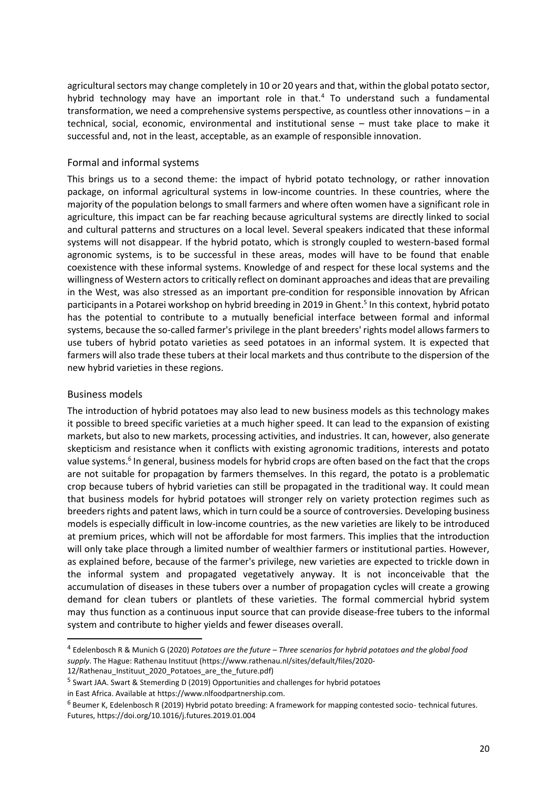agricultural sectors may change completely in 10 or 20 years and that, within the global potato sector, hybrid technology may have an important role in that.<sup>4</sup> To understand such a fundamental transformation, we need a comprehensive systems perspective, as countless other innovations – in a technical, social, economic, environmental and institutional sense – must take place to make it successful and, not in the least, acceptable, as an example of responsible innovation.

#### Formal and informal systems

This brings us to a second theme: the impact of hybrid potato technology, or rather innovation package, on informal agricultural systems in low-income countries. In these countries, where the majority of the population belongs to small farmers and where often women have a significant role in agriculture, this impact can be far reaching because agricultural systems are directly linked to social and cultural patterns and structures on a local level. Several speakers indicated that these informal systems will not disappear. If the hybrid potato, which is strongly coupled to western-based formal agronomic systems, is to be successful in these areas, modes will have to be found that enable coexistence with these informal systems. Knowledge of and respect for these local systems and the willingness of Western actors to critically reflect on dominant approaches and ideas that are prevailing in the West, was also stressed as an important pre-condition for responsible innovation by African participants in a Potarei workshop on hybrid breeding in 2019 in Ghent.<sup>5</sup> In this context, hybrid potato has the potential to contribute to a mutually beneficial interface between formal and informal systems, because the so-called farmer's privilege in the plant breeders' rights model allows farmers to use tubers of hybrid potato varieties as seed potatoes in an informal system. It is expected that farmers will also trade these tubers at their local markets and thus contribute to the dispersion of the new hybrid varieties in these regions.

#### Business models

The introduction of hybrid potatoes may also lead to new business models as this technology makes it possible to breed specific varieties at a much higher speed. It can lead to the expansion of existing markets, but also to new markets, processing activities, and industries. It can, however, also generate skepticism and resistance when it conflicts with existing agronomic traditions, interests and potato value systems.<sup>6</sup> In general, business models for hybrid crops are often based on the fact that the crops are not suitable for propagation by farmers themselves. In this regard, the potato is a problematic crop because tubers of hybrid varieties can still be propagated in the traditional way. It could mean that business models for hybrid potatoes will stronger rely on variety protection regimes such as breeders rights and patent laws, which in turn could be a source of controversies. Developing business models is especially difficult in low-income countries, as the new varieties are likely to be introduced at premium prices, which will not be affordable for most farmers. This implies that the introduction will only take place through a limited number of wealthier farmers or institutional parties. However, as explained before, because of the farmer's privilege, new varieties are expected to trickle down in the informal system and propagated vegetatively anyway. It is not inconceivable that the accumulation of diseases in these tubers over a number of propagation cycles will create a growing demand for clean tubers or plantlets of these varieties. The formal commercial hybrid system may thus function as a continuous input source that can provide disease-free tubers to the informal system and contribute to higher yields and fewer diseases overall.

<sup>4</sup> Edelenbosch R & Munich G (2020) *Potatoes are the future – Three scenarios for hybrid potatoes and the global food supply*. The Hague: Rathenau Instituut (https://www.rathenau.nl/sites/default/files/2020-

<sup>12/</sup>Rathenau Instituut 2020 Potatoes are the future.pdf)

<sup>&</sup>lt;sup>5</sup> Swart JAA. Swart & Stemerding D (2019) Opportunities and challenges for hybrid potatoes

in East Africa. Available at https://www.nlfoodpartnership.com.

<sup>6</sup> Beumer K, Edelenbosch R (2019) Hybrid potato breeding: A framework for mapping contested socio- technical futures. Futures, https://doi.org/10.1016/j.futures.2019.01.004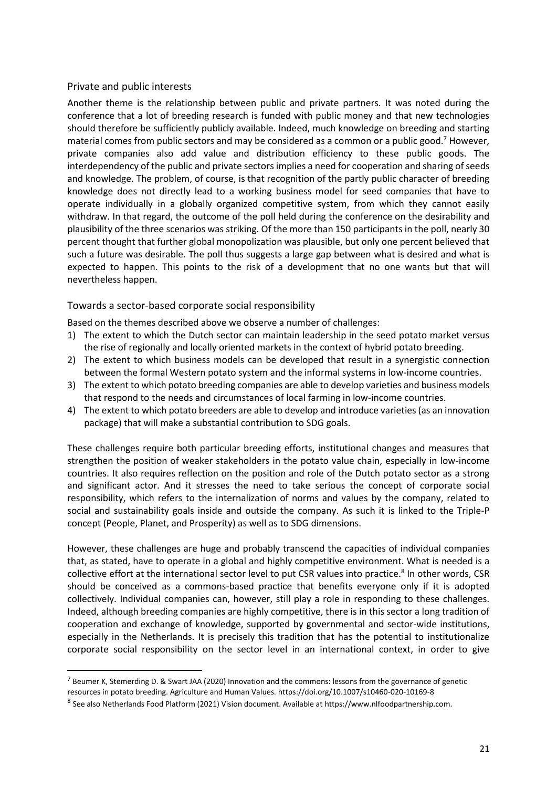#### Private and public interests

Another theme is the relationship between public and private partners. It was noted during the conference that a lot of breeding research is funded with public money and that new technologies should therefore be sufficiently publicly available. Indeed, much knowledge on breeding and starting material comes from public sectors and may be considered as a common or a public good.<sup>7</sup> However, private companies also add value and distribution efficiency to these public goods. The interdependency of the public and private sectors implies a need for cooperation and sharing of seeds and knowledge. The problem, of course, is that recognition of the partly public character of breeding knowledge does not directly lead to a working business model for seed companies that have to operate individually in a globally organized competitive system, from which they cannot easily withdraw. In that regard, the outcome of the poll held during the conference on the desirability and plausibility of the three scenarios was striking. Of the more than 150 participants in the poll, nearly 30 percent thought that further global monopolization was plausible, but only one percent believed that such a future was desirable. The poll thus suggests a large gap between what is desired and what is expected to happen. This points to the risk of a development that no one wants but that will nevertheless happen.

#### Towards a sector-based corporate social responsibility

Based on the themes described above we observe a number of challenges:

- 1) The extent to which the Dutch sector can maintain leadership in the seed potato market versus the rise of regionally and locally oriented markets in the context of hybrid potato breeding.
- 2) The extent to which business models can be developed that result in a synergistic connection between the formal Western potato system and the informal systems in low-income countries.
- 3) The extent to which potato breeding companies are able to develop varieties and business models that respond to the needs and circumstances of local farming in low-income countries.
- 4) The extent to which potato breeders are able to develop and introduce varieties (as an innovation package) that will make a substantial contribution to SDG goals.

These challenges require both particular breeding efforts, institutional changes and measures that strengthen the position of weaker stakeholders in the potato value chain, especially in low-income countries. It also requires reflection on the position and role of the Dutch potato sector as a strong and significant actor. And it stresses the need to take serious the concept of corporate social responsibility, which refers to the internalization of norms and values by the company, related to social and sustainability goals inside and outside the company. As such it is linked to the Triple-P concept (People, Planet, and Prosperity) as well as to SDG dimensions.

However, these challenges are huge and probably transcend the capacities of individual companies that, as stated, have to operate in a global and highly competitive environment. What is needed is a collective effort at the international sector level to put CSR values into practice.<sup>8</sup> In other words, CSR should be conceived as a commons-based practice that benefits everyone only if it is adopted collectively. Individual companies can, however, still play a role in responding to these challenges. Indeed, although breeding companies are highly competitive, there is in this sector a long tradition of cooperation and exchange of knowledge, supported by governmental and sector-wide institutions, especially in the Netherlands. It is precisely this tradition that has the potential to institutionalize corporate social responsibility on the sector level in an international context, in order to give

<sup>7</sup> Beumer K, Stemerding D. & Swart JAA (2020) Innovation and the commons: lessons from the governance of genetic resources in potato breeding. Agriculture and Human Values. https://doi.org/10.1007/s10460-020-10169-8

<sup>8</sup> See also Netherlands Food Platform (2021) Vision document. Available at https://www.nlfoodpartnership.com.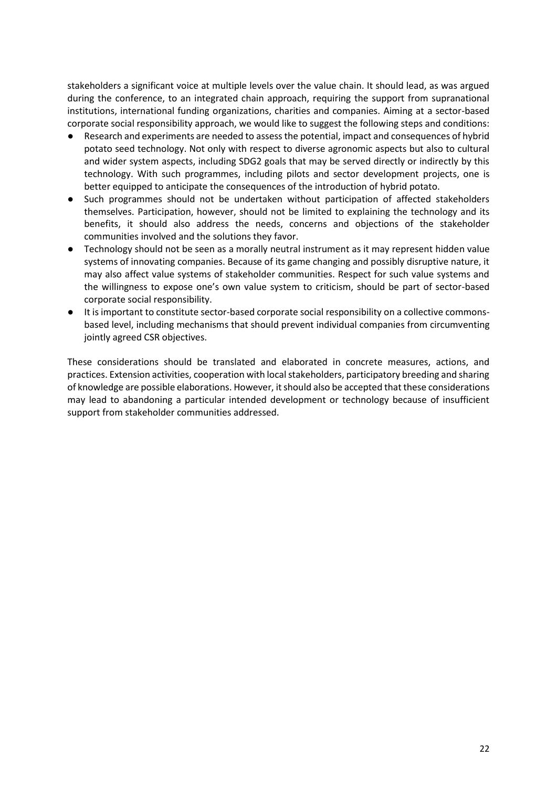stakeholders a significant voice at multiple levels over the value chain. It should lead, as was argued during the conference, to an integrated chain approach, requiring the support from supranational institutions, international funding organizations, charities and companies. Aiming at a sector-based corporate social responsibility approach, we would like to suggest the following steps and conditions:

- Research and experiments are needed to assess the potential, impact and consequences of hybrid potato seed technology. Not only with respect to diverse agronomic aspects but also to cultural and wider system aspects, including SDG2 goals that may be served directly or indirectly by this technology. With such programmes, including pilots and sector development projects, one is better equipped to anticipate the consequences of the introduction of hybrid potato.
- Such programmes should not be undertaken without participation of affected stakeholders themselves. Participation, however, should not be limited to explaining the technology and its benefits, it should also address the needs, concerns and objections of the stakeholder communities involved and the solutions they favor.
- Technology should not be seen as a morally neutral instrument as it may represent hidden value systems of innovating companies. Because of its game changing and possibly disruptive nature, it may also affect value systems of stakeholder communities. Respect for such value systems and the willingness to expose one's own value system to criticism, should be part of sector-based corporate social responsibility.
- It is important to constitute sector-based corporate social responsibility on a collective commonsbased level, including mechanisms that should prevent individual companies from circumventing jointly agreed CSR objectives.

These considerations should be translated and elaborated in concrete measures, actions, and practices. Extension activities, cooperation with local stakeholders, participatory breeding and sharing of knowledge are possible elaborations. However, it should also be accepted that these considerations may lead to abandoning a particular intended development or technology because of insufficient support from stakeholder communities addressed.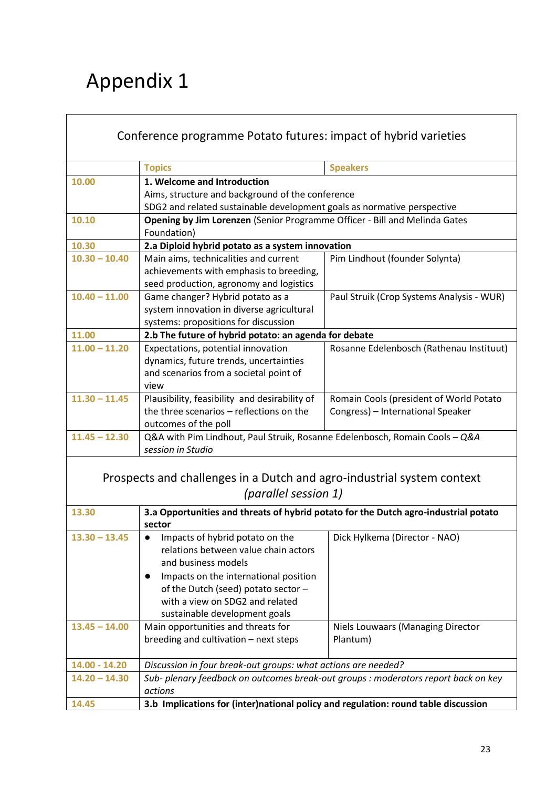## Appendix 1

| Conference programme Potato futures: impact of hybrid varieties                                |                                                                                                                                                     |                                           |  |  |
|------------------------------------------------------------------------------------------------|-----------------------------------------------------------------------------------------------------------------------------------------------------|-------------------------------------------|--|--|
|                                                                                                | <b>Topics</b>                                                                                                                                       | <b>Speakers</b>                           |  |  |
| 10.00                                                                                          | 1. Welcome and Introduction                                                                                                                         |                                           |  |  |
|                                                                                                | Aims, structure and background of the conference                                                                                                    |                                           |  |  |
|                                                                                                | SDG2 and related sustainable development goals as normative perspective                                                                             |                                           |  |  |
| 10.10                                                                                          | Opening by Jim Lorenzen (Senior Programme Officer - Bill and Melinda Gates<br>Foundation)                                                           |                                           |  |  |
| 10.30                                                                                          | 2.a Diploid hybrid potato as a system innovation                                                                                                    |                                           |  |  |
| $10.30 - 10.40$                                                                                | Main aims, technicalities and current                                                                                                               | Pim Lindhout (founder Solynta)            |  |  |
|                                                                                                | achievements with emphasis to breeding,                                                                                                             |                                           |  |  |
|                                                                                                | seed production, agronomy and logistics                                                                                                             |                                           |  |  |
| $10.40 - 11.00$                                                                                | Game changer? Hybrid potato as a                                                                                                                    | Paul Struik (Crop Systems Analysis - WUR) |  |  |
|                                                                                                | system innovation in diverse agricultural                                                                                                           |                                           |  |  |
|                                                                                                | systems: propositions for discussion                                                                                                                |                                           |  |  |
| 11.00                                                                                          | 2.b The future of hybrid potato: an agenda for debate                                                                                               |                                           |  |  |
| $11.00 - 11.20$                                                                                | Expectations, potential innovation                                                                                                                  | Rosanne Edelenbosch (Rathenau Instituut)  |  |  |
|                                                                                                | dynamics, future trends, uncertainties                                                                                                              |                                           |  |  |
|                                                                                                | and scenarios from a societal point of                                                                                                              |                                           |  |  |
|                                                                                                | view                                                                                                                                                |                                           |  |  |
| $11.30 - 11.45$                                                                                | Plausibility, feasibility and desirability of                                                                                                       | Romain Cools (president of World Potato   |  |  |
|                                                                                                | the three scenarios - reflections on the                                                                                                            | Congress) - International Speaker         |  |  |
|                                                                                                | outcomes of the poll                                                                                                                                |                                           |  |  |
| $11.45 - 12.30$                                                                                | Q&A with Pim Lindhout, Paul Struik, Rosanne Edelenbosch, Romain Cools - Q&A                                                                         |                                           |  |  |
|                                                                                                | session in Studio                                                                                                                                   |                                           |  |  |
| Prospects and challenges in a Dutch and agro-industrial system context<br>(parallel session 1) |                                                                                                                                                     |                                           |  |  |
| 13.30                                                                                          | 3.a Opportunities and threats of hybrid potato for the Dutch agro-industrial potato<br>sector                                                       |                                           |  |  |
| $13.30 - 13.45$                                                                                | Impacts of hybrid potato on the<br>$\bullet$                                                                                                        | Dick Hylkema (Director - NAO)             |  |  |
|                                                                                                | relations between value chain actors                                                                                                                |                                           |  |  |
|                                                                                                | and business models                                                                                                                                 |                                           |  |  |
|                                                                                                | Impacts on the international position<br>$\bullet$                                                                                                  |                                           |  |  |
|                                                                                                | of the Dutch (seed) potato sector -                                                                                                                 |                                           |  |  |
|                                                                                                | with a view on SDG2 and related                                                                                                                     |                                           |  |  |
|                                                                                                | sustainable development goals                                                                                                                       |                                           |  |  |
| $13.45 - 14.00$                                                                                | Main opportunities and threats for                                                                                                                  | Niels Louwaars (Managing Director         |  |  |
|                                                                                                | breeding and cultivation - next steps                                                                                                               | Plantum)                                  |  |  |
| 14.00 - 14.20                                                                                  |                                                                                                                                                     |                                           |  |  |
| $14.20 - 14.30$                                                                                | Discussion in four break-out groups: what actions are needed?<br>Sub- plenary feedback on outcomes break-out groups : moderators report back on key |                                           |  |  |
|                                                                                                | actions                                                                                                                                             |                                           |  |  |
| 14.45                                                                                          | 3.b Implications for (inter)national policy and regulation: round table discussion                                                                  |                                           |  |  |

٦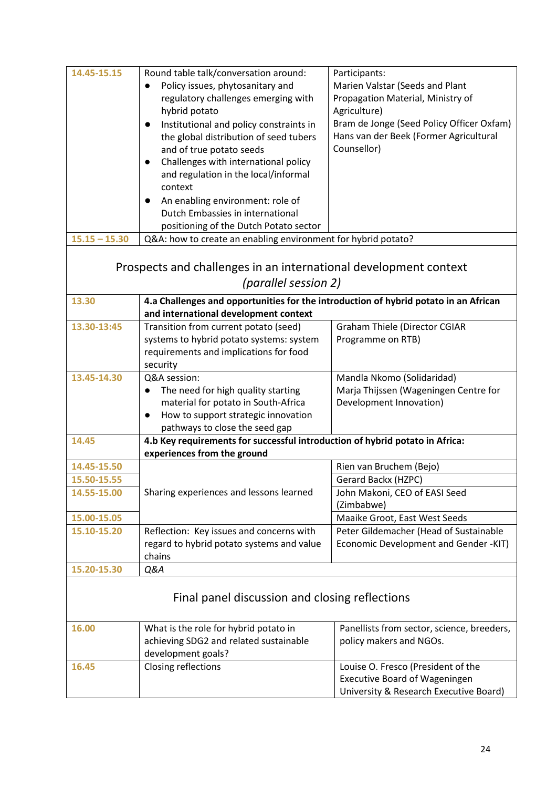| 14.45-15.15<br>$15.15 - 15.30$                                                                | Round table talk/conversation around:<br>Policy issues, phytosanitary and<br>$\bullet$<br>regulatory challenges emerging with<br>hybrid potato<br>Institutional and policy constraints in<br>$\bullet$<br>the global distribution of seed tubers<br>and of true potato seeds<br>Challenges with international policy<br>$\bullet$<br>and regulation in the local/informal<br>context<br>An enabling environment: role of<br>Dutch Embassies in international<br>positioning of the Dutch Potato sector<br>Q&A: how to create an enabling environment for hybrid potato? | Participants:<br>Marien Valstar (Seeds and Plant<br>Propagation Material, Ministry of<br>Agriculture)<br>Bram de Jonge (Seed Policy Officer Oxfam)<br>Hans van der Beek (Former Agricultural<br>Counsellor) |  |  |
|-----------------------------------------------------------------------------------------------|-------------------------------------------------------------------------------------------------------------------------------------------------------------------------------------------------------------------------------------------------------------------------------------------------------------------------------------------------------------------------------------------------------------------------------------------------------------------------------------------------------------------------------------------------------------------------|-------------------------------------------------------------------------------------------------------------------------------------------------------------------------------------------------------------|--|--|
| Prospects and challenges in an international development context<br>(parallel session 2)      |                                                                                                                                                                                                                                                                                                                                                                                                                                                                                                                                                                         |                                                                                                                                                                                                             |  |  |
| 13.30<br>4.a Challenges and opportunities for the introduction of hybrid potato in an African |                                                                                                                                                                                                                                                                                                                                                                                                                                                                                                                                                                         |                                                                                                                                                                                                             |  |  |
| 13.30-13:45                                                                                   | and international development context<br>Transition from current potato (seed)                                                                                                                                                                                                                                                                                                                                                                                                                                                                                          | <b>Graham Thiele (Director CGIAR</b>                                                                                                                                                                        |  |  |
|                                                                                               | systems to hybrid potato systems: system<br>requirements and implications for food<br>security                                                                                                                                                                                                                                                                                                                                                                                                                                                                          | Programme on RTB)                                                                                                                                                                                           |  |  |
| 13.45-14.30                                                                                   | Q&A session:<br>The need for high quality starting<br>$\bullet$<br>material for potato in South-Africa<br>How to support strategic innovation<br>$\bullet$<br>pathways to close the seed gap                                                                                                                                                                                                                                                                                                                                                                            | Mandla Nkomo (Solidaridad)<br>Marja Thijssen (Wageningen Centre for<br>Development Innovation)                                                                                                              |  |  |
| 14.45                                                                                         | 4.b Key requirements for successful introduction of hybrid potato in Africa:<br>experiences from the ground                                                                                                                                                                                                                                                                                                                                                                                                                                                             |                                                                                                                                                                                                             |  |  |
| 14.45-15.50                                                                                   |                                                                                                                                                                                                                                                                                                                                                                                                                                                                                                                                                                         | Rien van Bruchem (Bejo)                                                                                                                                                                                     |  |  |
| 15.50-15.55                                                                                   |                                                                                                                                                                                                                                                                                                                                                                                                                                                                                                                                                                         | Gerard Backx (HZPC)                                                                                                                                                                                         |  |  |
| 14.55-15.00                                                                                   | Sharing experiences and lessons learned                                                                                                                                                                                                                                                                                                                                                                                                                                                                                                                                 | John Makoni, CEO of EASI Seed<br>(Zimbabwe)                                                                                                                                                                 |  |  |
| 15.00-15.05                                                                                   |                                                                                                                                                                                                                                                                                                                                                                                                                                                                                                                                                                         | Maaike Groot, East West Seeds                                                                                                                                                                               |  |  |
| 15.10-15.20                                                                                   | Reflection: Key issues and concerns with<br>regard to hybrid potato systems and value<br>chains                                                                                                                                                                                                                                                                                                                                                                                                                                                                         | Peter Gildemacher (Head of Sustainable<br>Economic Development and Gender -KIT)                                                                                                                             |  |  |
| 15.20-15.30                                                                                   | Q&A                                                                                                                                                                                                                                                                                                                                                                                                                                                                                                                                                                     |                                                                                                                                                                                                             |  |  |
|                                                                                               | Final panel discussion and closing reflections                                                                                                                                                                                                                                                                                                                                                                                                                                                                                                                          |                                                                                                                                                                                                             |  |  |
| 16.00                                                                                         | What is the role for hybrid potato in<br>achieving SDG2 and related sustainable<br>development goals?                                                                                                                                                                                                                                                                                                                                                                                                                                                                   | Panellists from sector, science, breeders,<br>policy makers and NGOs.                                                                                                                                       |  |  |
| 16.45                                                                                         | Closing reflections                                                                                                                                                                                                                                                                                                                                                                                                                                                                                                                                                     | Louise O. Fresco (President of the<br><b>Executive Board of Wageningen</b><br>University & Research Executive Board)                                                                                        |  |  |